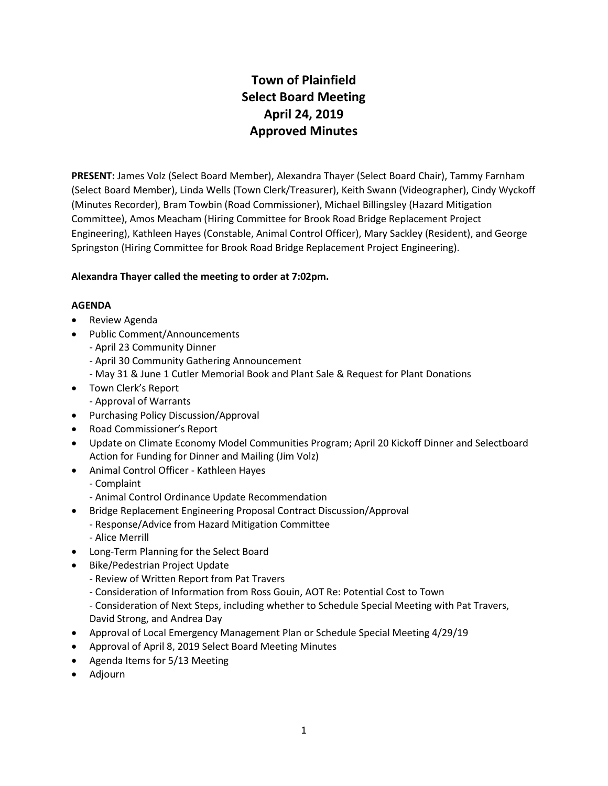# **Town of Plainfield Select Board Meeting April 24, 2019 Approved Minutes**

**PRESENT:** James Volz (Select Board Member), Alexandra Thayer (Select Board Chair), Tammy Farnham (Select Board Member), Linda Wells (Town Clerk/Treasurer), Keith Swann (Videographer), Cindy Wyckoff (Minutes Recorder), Bram Towbin (Road Commissioner), Michael Billingsley (Hazard Mitigation Committee), Amos Meacham (Hiring Committee for Brook Road Bridge Replacement Project Engineering), Kathleen Hayes (Constable, Animal Control Officer), Mary Sackley (Resident), and George Springston (Hiring Committee for Brook Road Bridge Replacement Project Engineering).

# **Alexandra Thayer called the meeting to order at 7:02pm.**

#### **AGENDA**

- Review Agenda
- Public Comment/Announcements
	- April 23 Community Dinner
	- April 30 Community Gathering Announcement
	- May 31 & June 1 Cutler Memorial Book and Plant Sale & Request for Plant Donations
- Town Clerk's Report
	- Approval of Warrants
- Purchasing Policy Discussion/Approval
- Road Commissioner's Report
- Update on Climate Economy Model Communities Program; April 20 Kickoff Dinner and Selectboard Action for Funding for Dinner and Mailing (Jim Volz)
- Animal Control Officer Kathleen Hayes
	- Complaint
	- Animal Control Ordinance Update Recommendation
- Bridge Replacement Engineering Proposal Contract Discussion/Approval
	- Response/Advice from Hazard Mitigation Committee
	- Alice Merrill
- Long-Term Planning for the Select Board
- Bike/Pedestrian Project Update
	- Review of Written Report from Pat Travers
	- Consideration of Information from Ross Gouin, AOT Re: Potential Cost to Town
	- Consideration of Next Steps, including whether to Schedule Special Meeting with Pat Travers, David Strong, and Andrea Day
- Approval of Local Emergency Management Plan or Schedule Special Meeting 4/29/19
- Approval of April 8, 2019 Select Board Meeting Minutes
- Agenda Items for 5/13 Meeting
- Adjourn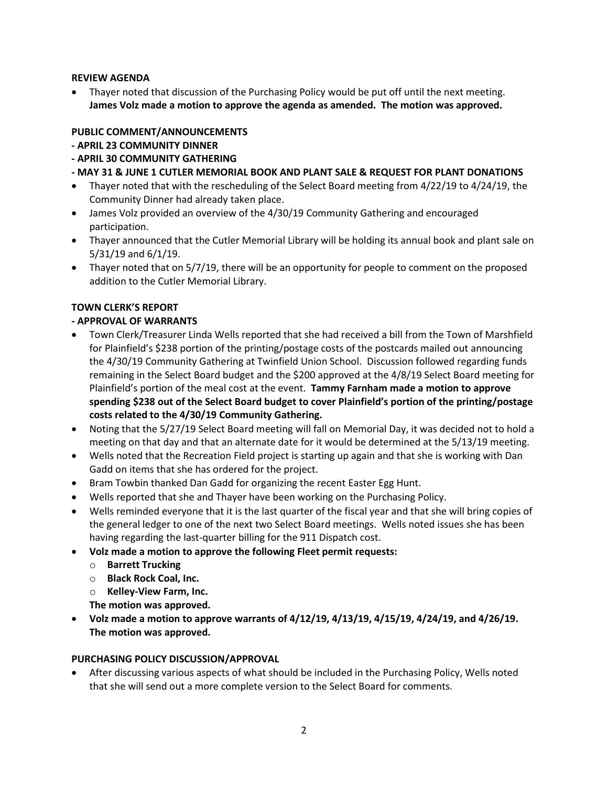## **REVIEW AGENDA**

 Thayer noted that discussion of the Purchasing Policy would be put off until the next meeting. **James Volz made a motion to approve the agenda as amended. The motion was approved.**

# **PUBLIC COMMENT/ANNOUNCEMENTS**

- **- APRIL 23 COMMUNITY DINNER**
- **- APRIL 30 COMMUNITY GATHERING**
- **- MAY 31 & JUNE 1 CUTLER MEMORIAL BOOK AND PLANT SALE & REQUEST FOR PLANT DONATIONS**
- Thayer noted that with the rescheduling of the Select Board meeting from 4/22/19 to 4/24/19, the Community Dinner had already taken place.
- James Volz provided an overview of the 4/30/19 Community Gathering and encouraged participation.
- Thayer announced that the Cutler Memorial Library will be holding its annual book and plant sale on 5/31/19 and 6/1/19.
- Thayer noted that on 5/7/19, there will be an opportunity for people to comment on the proposed addition to the Cutler Memorial Library.

## **TOWN CLERK'S REPORT**

## **- APPROVAL OF WARRANTS**

- Town Clerk/Treasurer Linda Wells reported that she had received a bill from the Town of Marshfield for Plainfield's \$238 portion of the printing/postage costs of the postcards mailed out announcing the 4/30/19 Community Gathering at Twinfield Union School. Discussion followed regarding funds remaining in the Select Board budget and the \$200 approved at the 4/8/19 Select Board meeting for Plainfield's portion of the meal cost at the event. **Tammy Farnham made a motion to approve spending \$238 out of the Select Board budget to cover Plainfield's portion of the printing/postage costs related to the 4/30/19 Community Gathering.**
- Noting that the 5/27/19 Select Board meeting will fall on Memorial Day, it was decided not to hold a meeting on that day and that an alternate date for it would be determined at the 5/13/19 meeting.
- Wells noted that the Recreation Field project is starting up again and that she is working with Dan Gadd on items that she has ordered for the project.
- Bram Towbin thanked Dan Gadd for organizing the recent Easter Egg Hunt.
- Wells reported that she and Thayer have been working on the Purchasing Policy.
- Wells reminded everyone that it is the last quarter of the fiscal year and that she will bring copies of the general ledger to one of the next two Select Board meetings. Wells noted issues she has been having regarding the last-quarter billing for the 911 Dispatch cost.
- **Volz made a motion to approve the following Fleet permit requests:**
	- o **Barrett Trucking**
	- o **Black Rock Coal, Inc.**
	- o **Kelley-View Farm, Inc.**
	- **The motion was approved.**
- **Volz made a motion to approve warrants of 4/12/19, 4/13/19, 4/15/19, 4/24/19, and 4/26/19. The motion was approved.**

#### **PURCHASING POLICY DISCUSSION/APPROVAL**

 After discussing various aspects of what should be included in the Purchasing Policy, Wells noted that she will send out a more complete version to the Select Board for comments.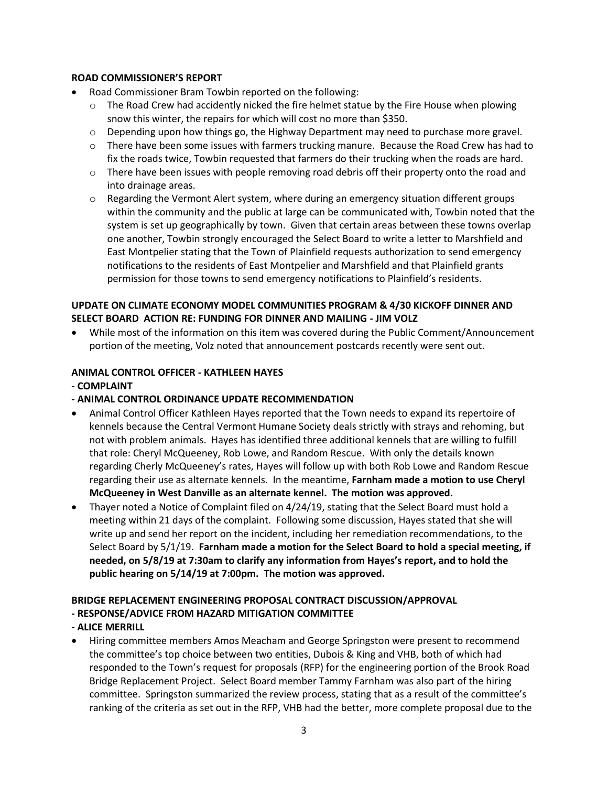## **ROAD COMMISSIONER'S REPORT**

- Road Commissioner Bram Towbin reported on the following:
	- $\circ$  The Road Crew had accidently nicked the fire helmet statue by the Fire House when plowing snow this winter, the repairs for which will cost no more than \$350.
	- $\circ$  Depending upon how things go, the Highway Department may need to purchase more gravel.
	- $\circ$  There have been some issues with farmers trucking manure. Because the Road Crew has had to fix the roads twice, Towbin requested that farmers do their trucking when the roads are hard.
	- $\circ$  There have been issues with people removing road debris off their property onto the road and into drainage areas.
	- $\circ$  Regarding the Vermont Alert system, where during an emergency situation different groups within the community and the public at large can be communicated with, Towbin noted that the system is set up geographically by town. Given that certain areas between these towns overlap one another, Towbin strongly encouraged the Select Board to write a letter to Marshfield and East Montpelier stating that the Town of Plainfield requests authorization to send emergency notifications to the residents of East Montpelier and Marshfield and that Plainfield grants permission for those towns to send emergency notifications to Plainfield's residents.

# **UPDATE ON CLIMATE ECONOMY MODEL COMMUNITIES PROGRAM & 4/30 KICKOFF DINNER AND SELECT BOARD ACTION RE: FUNDING FOR DINNER AND MAILING - JIM VOLZ**

 While most of the information on this item was covered during the Public Comment/Announcement portion of the meeting, Volz noted that announcement postcards recently were sent out.

## **ANIMAL CONTROL OFFICER - KATHLEEN HAYES**

#### **- COMPLAINT**

- **- ANIMAL CONTROL ORDINANCE UPDATE RECOMMENDATION**
- Animal Control Officer Kathleen Hayes reported that the Town needs to expand its repertoire of kennels because the Central Vermont Humane Society deals strictly with strays and rehoming, but not with problem animals. Hayes has identified three additional kennels that are willing to fulfill that role: Cheryl McQueeney, Rob Lowe, and Random Rescue. With only the details known regarding Cherly McQueeney's rates, Hayes will follow up with both Rob Lowe and Random Rescue regarding their use as alternate kennels. In the meantime, **Farnham made a motion to use Cheryl McQueeney in West Danville as an alternate kennel. The motion was approved.**
- Thayer noted a Notice of Complaint filed on 4/24/19, stating that the Select Board must hold a meeting within 21 days of the complaint. Following some discussion, Hayes stated that she will write up and send her report on the incident, including her remediation recommendations, to the Select Board by 5/1/19. **Farnham made a motion for the Select Board to hold a special meeting, if needed, on 5/8/19 at 7:30am to clarify any information from Hayes's report, and to hold the public hearing on 5/14/19 at 7:00pm. The motion was approved.**

#### **BRIDGE REPLACEMENT ENGINEERING PROPOSAL CONTRACT DISCUSSION/APPROVAL - RESPONSE/ADVICE FROM HAZARD MITIGATION COMMITTEE**

# **- ALICE MERRILL**

 Hiring committee members Amos Meacham and George Springston were present to recommend the committee's top choice between two entities, Dubois & King and VHB, both of which had responded to the Town's request for proposals (RFP) for the engineering portion of the Brook Road Bridge Replacement Project. Select Board member Tammy Farnham was also part of the hiring committee. Springston summarized the review process, stating that as a result of the committee's ranking of the criteria as set out in the RFP, VHB had the better, more complete proposal due to the